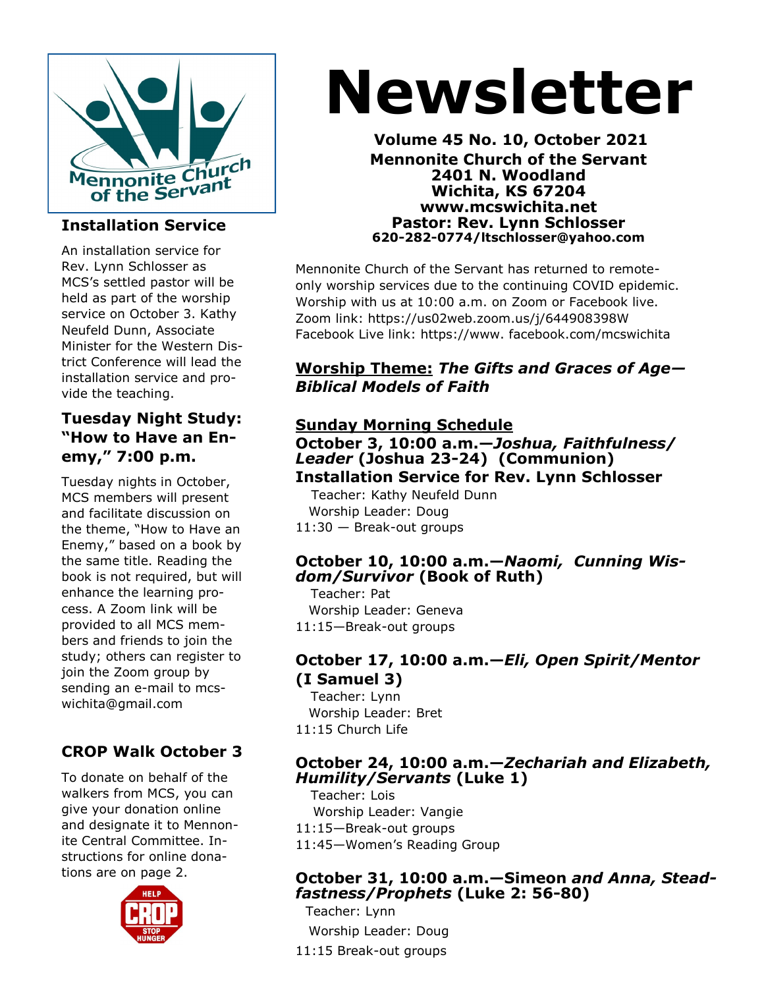

#### **Installation Service**

An installation service for Rev. Lynn Schlosser as MCS's settled pastor will be held as part of the worship service on October 3. Kathy Neufeld Dunn, Associate Minister for the Western District Conference will lead the installation service and provide the teaching.

#### **Tuesday Night Study: "How to Have an Enemy," 7:00 p.m.**

Tuesday nights in October, MCS members will present and facilitate discussion on the theme, "How to Have an Enemy," based on a book by the same title. Reading the book is not required, but will enhance the learning process. A Zoom link will be provided to all MCS members and friends to join the study; others can register to join the Zoom group by sending an e-mail to mcswichita@gmail.com

#### **CROP Walk October 3**

To donate on behalf of the walkers from MCS, you can give your donation online and designate it to Mennonite Central Committee. Instructions for online donations are on page 2.



# **Newsletter**

**Volume 45 No. 10, October 2021 Mennonite Church of the Servant 2401 N. Woodland Wichita, KS 67204 www.mcswichita.net Pastor: Rev. Lynn Schlosser 620-282-0774/ltschlosser@yahoo.com**

Mennonite Church of the Servant has returned to remoteonly worship services due to the continuing COVID epidemic. Worship with us at 10:00 a.m. on Zoom or Facebook live. Zoom link: https://us02web.zoom.us/j/644908398W Facebook Live link: https://www. facebook.com/mcswichita

#### **Worship Theme:** *The Gifts and Graces of Age— Biblical Models of Faith*

#### **Sunday Morning Schedule**

#### **October 3, 10:00 a.m.—***Joshua, Faithfulness/ Leader* **(Joshua 23-24) (Communion) Installation Service for Rev. Lynn Schlosser**

 Teacher: Kathy Neufeld Dunn Worship Leader: Doug 11:30 — Break-out groups

#### **October 10, 10:00 a.m.—***Naomi, Cunning Wisdom/Survivor* **(Book of Ruth)**

Teacher: Pat Worship Leader: Geneva 11:15—Break-out groups

#### **October 17, 10:00 a.m.—***Eli, Open Spirit/Mentor*  **(I Samuel 3)**

Teacher: Lynn Worship Leader: Bret 11:15 Church Life

#### **October 24, 10:00 a.m.—***Zechariah and Elizabeth, Humility/Servants* **(Luke 1)**

Teacher: Lois Worship Leader: Vangie 11:15—Break-out groups 11:45—Women's Reading Group

#### **October 31, 10:00 a.m.—Simeon** *and Anna, Steadfastness/Prophets* **(Luke 2: 56-80)**

Teacher: Lynn Worship Leader: Doug 11:15 Break-out groups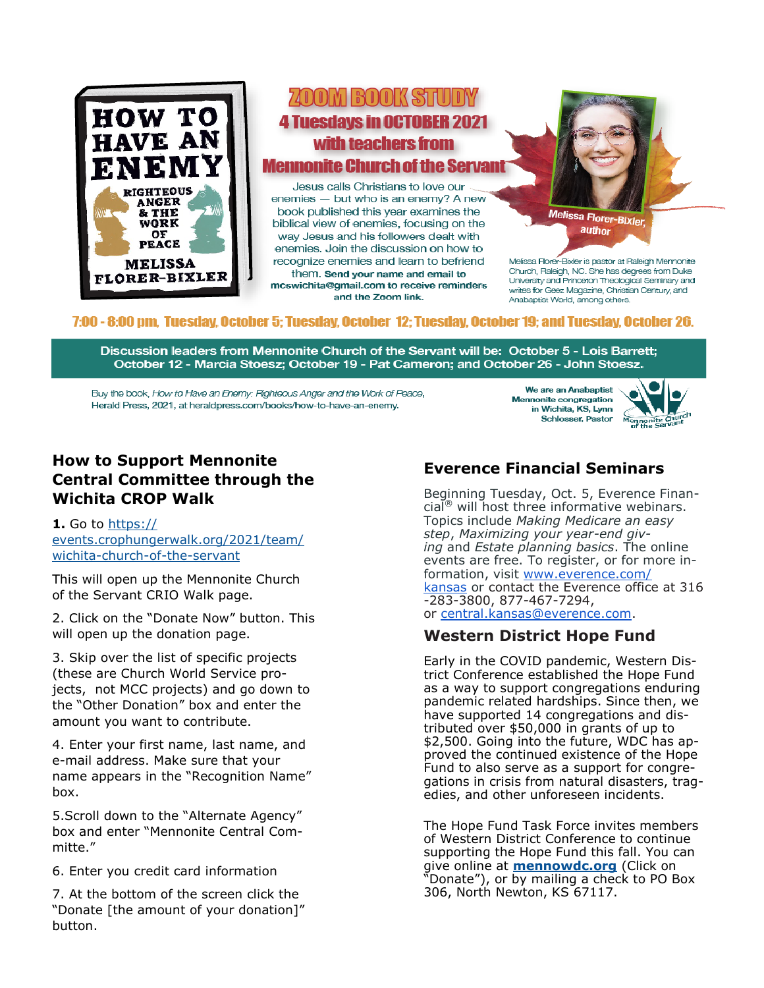

## ZOOM BOOK STUDY **4 Tuesdays in OCTOBER 2021** with teachers from **Mennonite Church of the Servant**

Jesus calls Christians to love our enemies - but who is an enemy? A new book published this year examines the biblical view of enemies, focusing on the way Jesus and his followers dealt with enemies. Join the discussion on how to recognize enemies and learn to befriend them. Send your name and email to mcswichita@qmail.com to receive reminders and the Zoom link.

Melissa Florer-Bixler, author

Melissa Florer-Bixler is pastor at Raleigh Mennonite Church, Raleigh, NC. She has degrees from Duke University and Princeton Theological Seminary and writes for Geez Magazine, Christian Century, and Anabaptist World, among others.

#### 7:00 - 8:00 pm. Tuesday. October 5: Tuesday. October 12: Tuesday. October 19: and Tuesday. October 26.

Discussion leaders from Mennonite Church of the Servant will be: October 5 - Lois Barrett; October 12 - Marcia Stoesz; October 19 - Pat Cameron; and October 26 - John Stoesz.

Buy the book, How to Have an Enemy: Righteous Anger and the Work of Peace, Herald Press, 2021, at heraldpress.com/books/how-to-have-an-enemy.

We are an Anabaptist Mennonite congregation in Wichita, KS, Lynn Schlosser, Pastor



#### **How to Support Mennonite Central Committee through the Wichita CROP Walk**

**1.** Go to [https://](https://events.crophungerwalk.org/2021/team/wichita-church-of-the-servant) [events.crophungerwalk.org/2021/team/](https://events.crophungerwalk.org/2021/team/wichita-church-of-the-servant) wichita-church-of-the-[servant](https://events.crophungerwalk.org/2021/team/wichita-church-of-the-servant)

This will open up the Mennonite Church of the Servant CRIO Walk page.

2. Click on the "Donate Now" button. This will open up the donation page.

3. Skip over the list of specific projects (these are Church World Service projects, not MCC projects) and go down to the "Other Donation" box and enter the amount you want to contribute.

4. Enter your first name, last name, and e-mail address. Make sure that your name appears in the "Recognition Name" box.

5.Scroll down to the "Alternate Agency" box and enter "Mennonite Central Committe."

6. Enter you credit card information

7. At the bottom of the screen click the "Donate [the amount of your donation]" button.

#### **Everence Financial Seminars**

Beginning Tuesday, Oct. 5, Everence Finan- $\operatorname{cial}^{\otimes}$  will host three informative webinars. Topics include *Making Medicare an easy step*, *Maximizing your year-end giving* and *Estate planning basics*. The online events are free. To register, or for more information, visit [www.everence.com/](http://www.everence.com/kansas) [kansas](http://www.everence.com/kansas) or contact the Everence office at 316 -283-3800, 877-467-7294, or [central.kansas@everence.com.](mailto:central.kansas@everence.com)

#### **Western District Hope Fund**

Early in the COVID pandemic, Western District Conference established the Hope Fund as a way to support congregations enduring pandemic related hardships. Since then, we have supported 14 congregations and distributed over \$50,000 in grants of up to \$2,500. Going into the future, WDC has approved the continued existence of the Hope Fund to also serve as a support for congregations in crisis from natural disasters, tragedies, and other unforeseen incidents.

The Hope Fund Task Force invites members of Western District Conference to continue supporting the Hope Fund this fall. You can give online at **[mennowdc.org](https://mennowdc.org/)** (Click on "Donate"), or by mailing a check to PO Box 306, North Newton, KS 67117.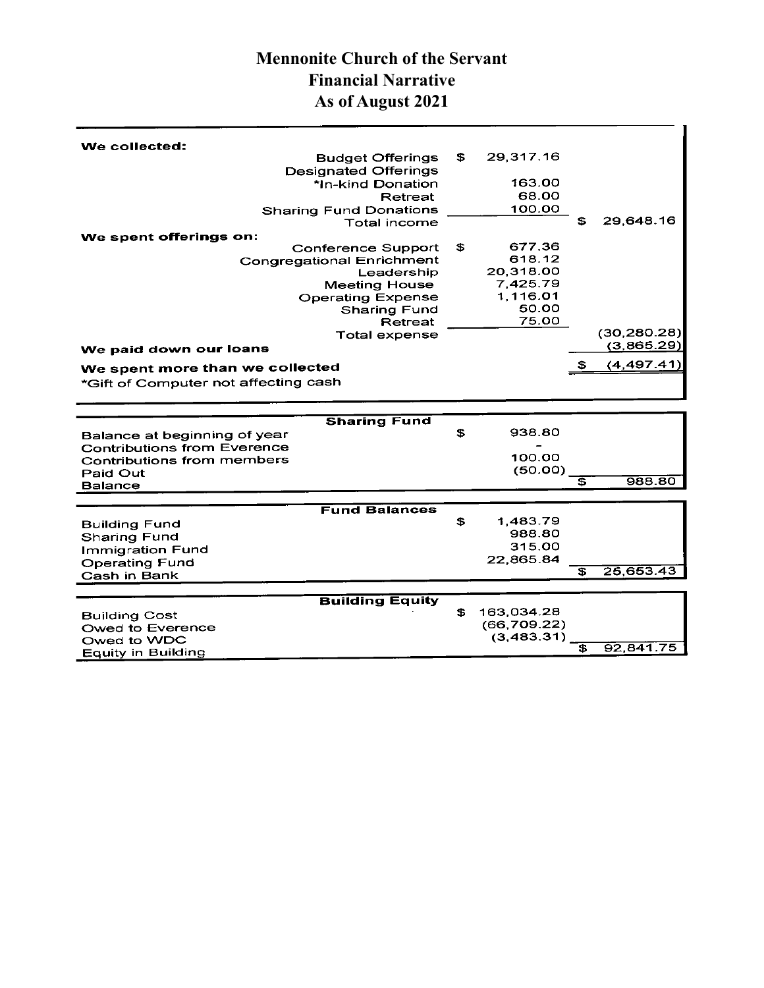### **Mennonite Church of the Servant Financial Narrative As of August 2021**

| - \$ | 29,317.16<br>163.00<br>68.00<br>100.00                         | SS    | 29.648.16                               |
|------|----------------------------------------------------------------|-------|-----------------------------------------|
| - \$ | 677.36<br>618.12<br>20,318.00<br>7,425.79<br>1,116.01<br>50.00 |       |                                         |
|      |                                                                |       | (30, 280.28)<br>(3,865.29)<br>(4,497.41 |
| £    | 938.80<br>100.00<br>(50.00)                                    | £     | 988.80                                  |
|      | Conference Support<br><b>Congregational Enrichment</b>         | 75.00 |                                         |

|                         | <b>Fund Balances</b> |           |
|-------------------------|----------------------|-----------|
| <b>Building Fund</b>    | 1.483.79             |           |
| <b>Sharing Fund</b>     | 988.80               |           |
| <b>Immigration Fund</b> | 315.00               |           |
|                         | 22,865.84            |           |
| <b>Operating Fund</b>   |                      | 25,653.43 |
| Cash in Bank            |                      |           |

|                      | <b>Building Equity</b> |             |           |
|----------------------|------------------------|-------------|-----------|
| <b>Building Cost</b> |                        | 163.034.28  |           |
| Owed to Everence     |                        | (66.709.22) |           |
| Owed to WDC          |                        | (3,483,31)  |           |
| Equity in Building   |                        |             | 92.841.75 |